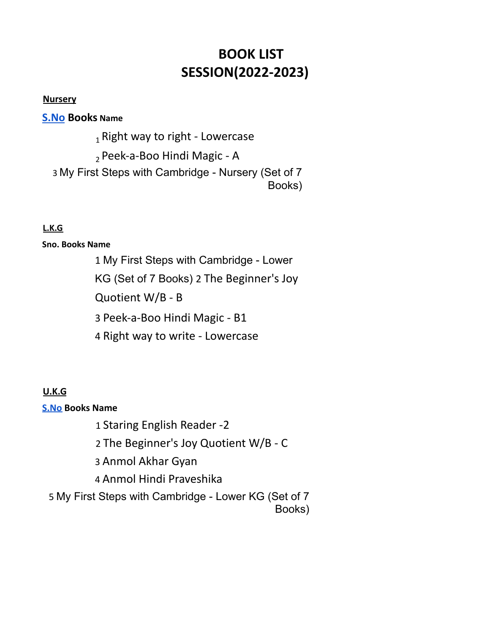# **BOOK LIST SESSION(2022-2023)**

#### **Nursery**

**S.No Books Name**

 $_1$  Right way to right - Lowercase

<sup>2</sup> Peek-a-Boo Hindi Magic - A

3 My First Steps with Cambridge - Nursery (Set of 7 Books)

# **L.K.G**

### **Sno. Books Name**

1 My First Steps with Cambridge - Lower KG (Set of 7 Books) 2 The Beginner's Joy Quotient W/B - B 3 Peek-a-Boo Hindi Magic - B1 4 Right way to write - Lowercase

# **U.K.G**

### **S.No Books Name**

1 Staring English Reader -2

2 The Beginner's Joy Quotient W/B - C

3 Anmol Akhar Gyan

4 Anmol Hindi Praveshika

5 My First Steps with Cambridge - Lower KG (Set of 7

Books)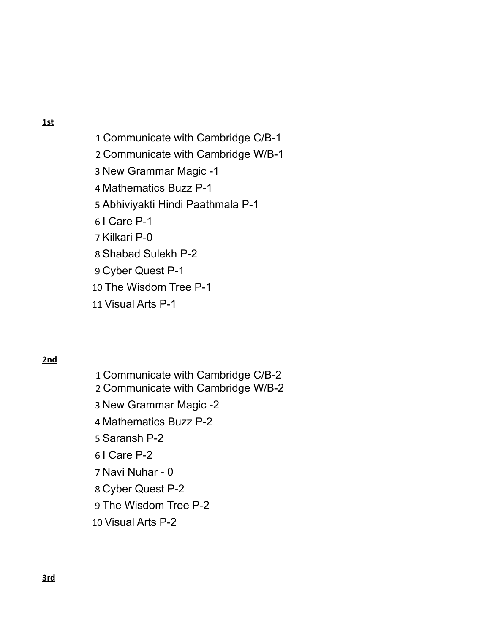Communicate with Cambridge C/B-1 Communicate with Cambridge W/B-1 New Grammar Magic -1 Mathematics Buzz P-1 Abhiviyakti Hindi Paathmala P-1 I Care P-1 Kilkari P-0 Shabad Sulekh P-2 Cyber Quest P-1 The Wisdom Tree P-1 Visual Arts P-1

#### **2nd**

 Communicate with Cambridge C/B-2 Communicate with Cambridge W/B-2 New Grammar Magic -2 Mathematics Buzz P-2 Saransh P-2 I Care P-2 Navi Nuhar - 0 Cyber Quest P-2 The Wisdom Tree P-2 Visual Arts P-2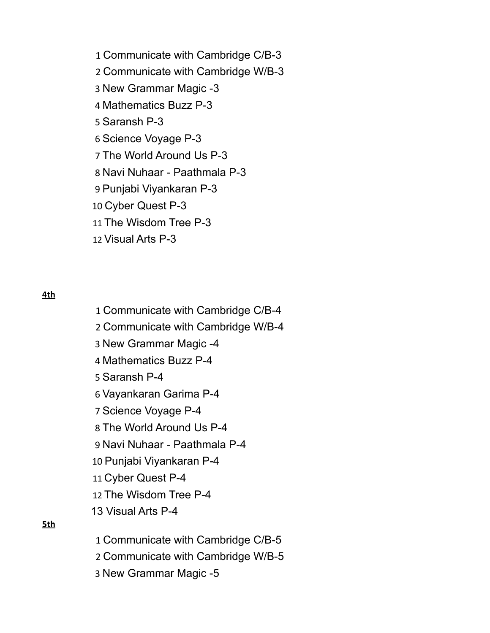Communicate with Cambridge C/B-3 Communicate with Cambridge W/B-3 New Grammar Magic -3 Mathematics Buzz P-3 Saransh P-3 Science Voyage P-3 The World Around Us P-3 Navi Nuhaar - Paathmala P-3 Punjabi Viyankaran P-3 Cyber Quest P-3 The Wisdom Tree P-3 Visual Arts P-3

**4th**

 Communicate with Cambridge C/B-4 Communicate with Cambridge W/B-4 New Grammar Magic -4 Mathematics Buzz P-4 Saransh P-4 Vayankaran Garima P-4 Science Voyage P-4 The World Around Us P-4 Navi Nuhaar - Paathmala P-4 Punjabi Viyankaran P-4 Cyber Quest P-4 The Wisdom Tree P-4 Visual Arts P-4 Communicate with Cambridge C/B-5

Communicate with Cambridge W/B-5

New Grammar Magic -5

**5th**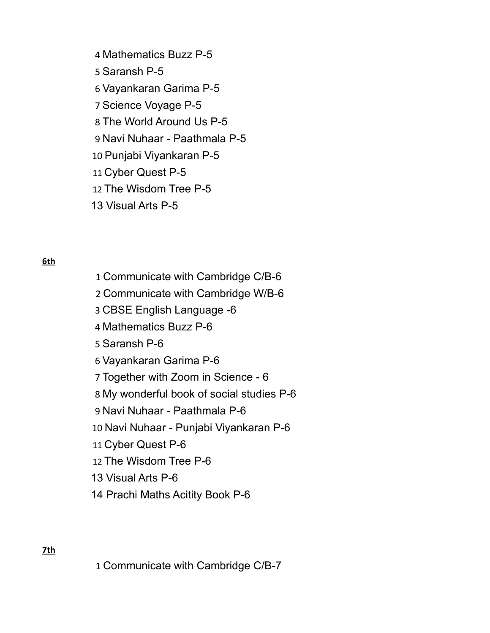- Mathematics Buzz P-5
- Saransh P-5
- Vayankaran Garima P-5
- Science Voyage P-5
- The World Around Us P-5
- Navi Nuhaar Paathmala P-5
- Punjabi Viyankaran P-5
- Cyber Quest P-5
- The Wisdom Tree P-5
- Visual Arts P-5

**6th**

 Communicate with Cambridge C/B-6 Communicate with Cambridge W/B-6 CBSE English Language -6 Mathematics Buzz P-6 Saransh P-6 Vayankaran Garima P-6 Together with Zoom in Science - 6 My wonderful book of social studies P-6 Navi Nuhaar - Paathmala P-6 Navi Nuhaar - Punjabi Viyankaran P-6 Cyber Quest P-6 The Wisdom Tree P-6 Visual Arts P-6 Prachi Maths Acitity Book P-6

**7th**

Communicate with Cambridge C/B-7